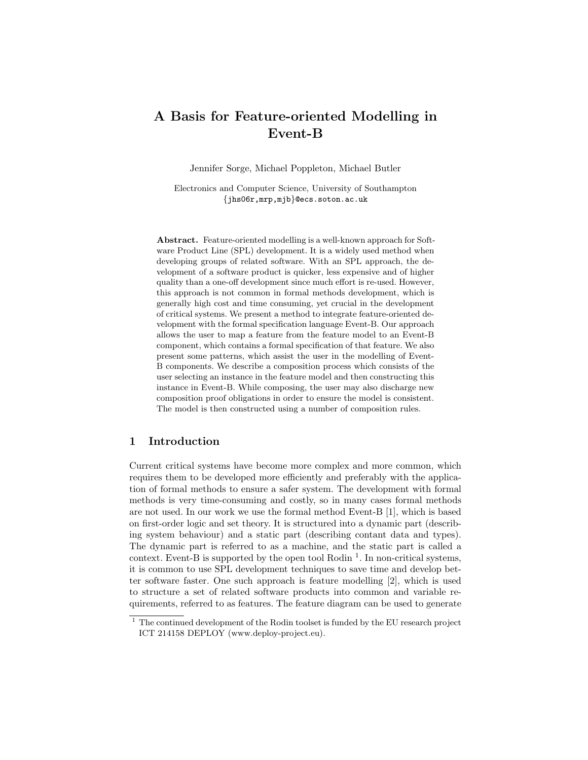# A Basis for Feature-oriented Modelling in Event-B

Jennifer Sorge, Michael Poppleton, Michael Butler

Electronics and Computer Science, University of Southampton {jhs06r,mrp,mjb}@ecs.soton.ac.uk

Abstract. Feature-oriented modelling is a well-known approach for Software Product Line (SPL) development. It is a widely used method when developing groups of related software. With an SPL approach, the development of a software product is quicker, less expensive and of higher quality than a one-off development since much effort is re-used. However, this approach is not common in formal methods development, which is generally high cost and time consuming, yet crucial in the development of critical systems. We present a method to integrate feature-oriented development with the formal specification language Event-B. Our approach allows the user to map a feature from the feature model to an Event-B component, which contains a formal specification of that feature. We also present some patterns, which assist the user in the modelling of Event-B components. We describe a composition process which consists of the user selecting an instance in the feature model and then constructing this instance in Event-B. While composing, the user may also discharge new composition proof obligations in order to ensure the model is consistent. The model is then constructed using a number of composition rules.

### 1 Introduction

Current critical systems have become more complex and more common, which requires them to be developed more efficiently and preferably with the application of formal methods to ensure a safer system. The development with formal methods is very time-consuming and costly, so in many cases formal methods are not used. In our work we use the formal method Event-B [1], which is based on first-order logic and set theory. It is structured into a dynamic part (describing system behaviour) and a static part (describing contant data and types). The dynamic part is referred to as a machine, and the static part is called a context. Event-B is supported by the open tool Rodin  $<sup>1</sup>$ . In non-critical systems,</sup> it is common to use SPL development techniques to save time and develop better software faster. One such approach is feature modelling [2], which is used to structure a set of related software products into common and variable requirements, referred to as features. The feature diagram can be used to generate

<sup>&</sup>lt;sup>1</sup> The continued development of the Rodin toolset is funded by the EU research project ICT 214158 DEPLOY (www.deploy-project.eu).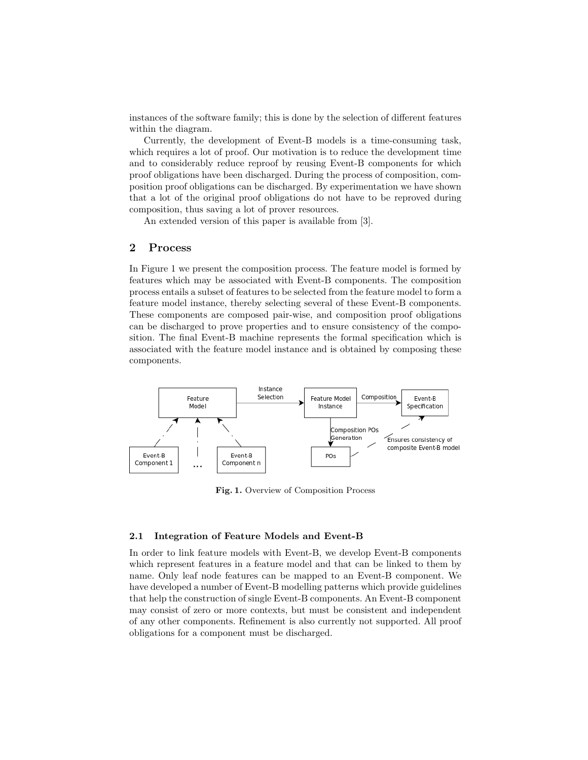instances of the software family; this is done by the selection of different features within the diagram.

Currently, the development of Event-B models is a time-consuming task, which requires a lot of proof. Our motivation is to reduce the development time and to considerably reduce reproof by reusing Event-B components for which proof obligations have been discharged. During the process of composition, composition proof obligations can be discharged. By experimentation we have shown that a lot of the original proof obligations do not have to be reproved during composition, thus saving a lot of prover resources.

An extended version of this paper is available from [3].

## 2 Process

In Figure 1 we present the composition process. The feature model is formed by features which may be associated with Event-B components. The composition process entails a subset of features to be selected from the feature model to form a feature model instance, thereby selecting several of these Event-B components. These components are composed pair-wise, and composition proof obligations can be discharged to prove properties and to ensure consistency of the composition. The final Event-B machine represents the formal specification which is associated with the feature model instance and is obtained by composing these components.



Fig. 1. Overview of Composition Process

#### 2.1 Integration of Feature Models and Event-B

In order to link feature models with Event-B, we develop Event-B components which represent features in a feature model and that can be linked to them by name. Only leaf node features can be mapped to an Event-B component. We have developed a number of Event-B modelling patterns which provide guidelines that help the construction of single Event-B components. An Event-B component may consist of zero or more contexts, but must be consistent and independent of any other components. Refinement is also currently not supported. All proof obligations for a component must be discharged.